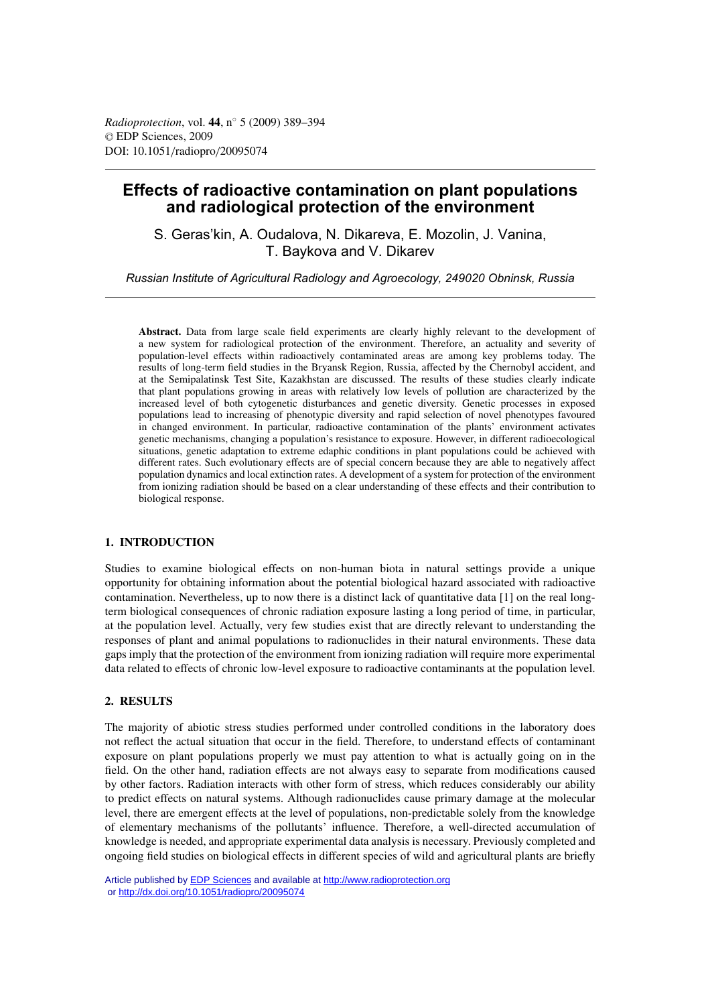# **Effects of radioactive contamination on plant populations and radiological protection of the environment**

S. Geras'kin, A. Oudalova, N. Dikareva, E. Mozolin, J. Vanina, T. Baykova and V. Dikarev

*Russian Institute of Agricultural Radiology and Agroecology, 249020 Obninsk, Russia*

**Abstract.** Data from large scale field experiments are clearly highly relevant to the development of a new system for radiological protection of the environment. Therefore, an actuality and severity of population-level effects within radioactively contaminated areas are among key problems today. The results of long-term field studies in the Bryansk Region, Russia, affected by the Chernobyl accident, and at the Semipalatinsk Test Site, Kazakhstan are discussed. The results of these studies clearly indicate that plant populations growing in areas with relatively low levels of pollution are characterized by the increased level of both cytogenetic disturbances and genetic diversity. Genetic processes in exposed populations lead to increasing of phenotypic diversity and rapid selection of novel phenotypes favoured in changed environment. In particular, radioactive contamination of the plants' environment activates genetic mechanisms, changing a population's resistance to exposure. However, in different radioecological situations, genetic adaptation to extreme edaphic conditions in plant populations could be achieved with different rates. Such evolutionary effects are of special concern because they are able to negatively affect population dynamics and local extinction rates. A development of a system for protection of the environment from ionizing radiation should be based on a clear understanding of these effects and their contribution to biological response.

# **1. INTRODUCTION**

Studies to examine biological effects on non-human biota in natural settings provide a unique opportunity for obtaining information about the potential biological hazard associated with radioactive contamination. Nevertheless, up to now there is a distinct lack of quantitative data [1] on the real longterm biological consequences of chronic radiation exposure lasting a long period of time, in particular, at the population level. Actually, very few studies exist that are directly relevant to understanding the responses of plant and animal populations to radionuclides in their natural environments. These data gaps imply that the protection of the environment from ionizing radiation will require more experimental data related to effects of chronic low-level exposure to radioactive contaminants at the population level.

# **2. RESULTS**

The majority of abiotic stress studies performed under controlled conditions in the laboratory does not reflect the actual situation that occur in the field. Therefore, to understand effects of contaminant exposure on plant populations properly we must pay attention to what is actually going on in the field. On the other hand, radiation effects are not always easy to separate from modifications caused by other factors. Radiation interacts with other form of stress, which reduces considerably our ability to predict effects on natural systems. Although radionuclides cause primary damage at the molecular level, there are emergent effects at the level of populations, non-predictable solely from the knowledge of elementary mechanisms of the pollutants' influence. Therefore, a well-directed accumulation of knowledge is needed, and appropriate experimental data analysis is necessary. Previously completed and ongoing field studies on biological effects in different species of wild and agricultural plants are briefly

Article published by [EDP Sciences](http://www.edpsciences.org) and available at<http://www.radioprotection.org> or <http://dx.doi.org/10.1051/radiopro/20095074>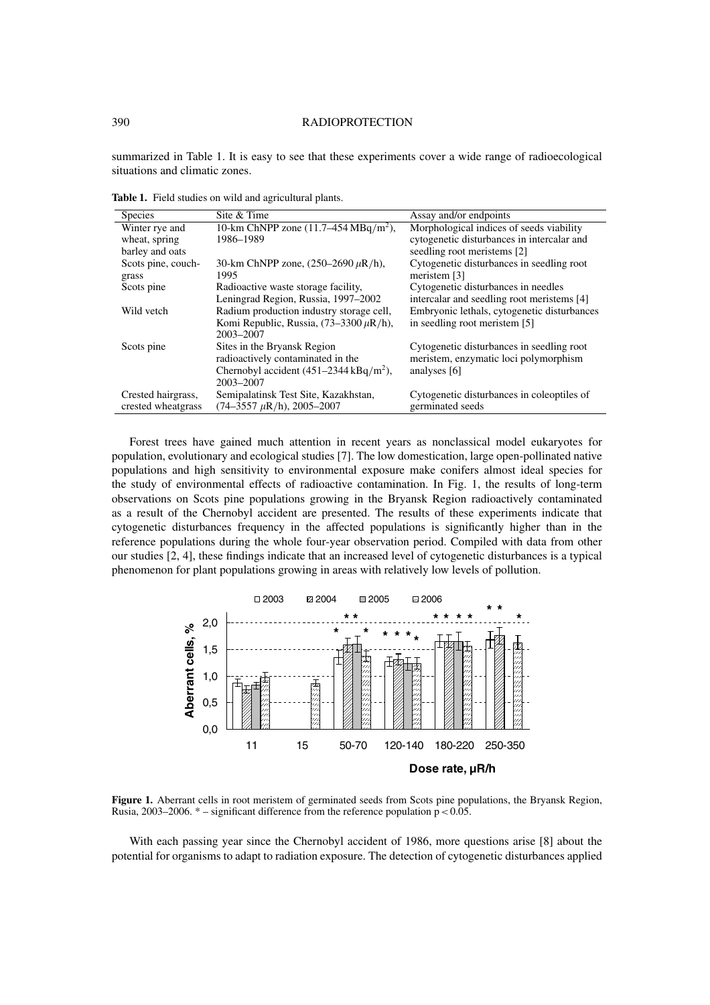# 390 RADIOPROTECTION

summarized in Table 1. It is easy to see that these experiments cover a wide range of radioecological situations and climatic zones.

**Table 1.** Field studies on wild and agricultural plants.

| Morphological indices of seeds viability<br>10-km ChNPP zone $(11.7-454 \text{ MBq/m}^2)$ ,<br>Winter rye and |  |
|---------------------------------------------------------------------------------------------------------------|--|
|                                                                                                               |  |
| 1986-1989<br>cytogenetic disturbances in intercalar and<br>wheat, spring                                      |  |
| seedling root meristems [2]<br>barley and oats                                                                |  |
| Cytogenetic disturbances in seedling root<br>Scots pine, couch-<br>30-km ChNPP zone, $(250-2690 \,\mu R/h)$ , |  |
| 1995<br>meristem [3]<br>grass                                                                                 |  |
| Scots pine<br>Radioactive waste storage facility,<br>Cytogenetic disturbances in needles                      |  |
| Leningrad Region, Russia, 1997–2002<br>intercalar and seedling root meristems [4]                             |  |
| Radium production industry storage cell,<br>Embryonic lethals, cytogenetic disturbances<br>Wild vetch         |  |
| Komi Republic, Russia, $(73-3300 \,\mu R/h)$ ,<br>in seedling root meristem [5]                               |  |
| 2003-2007                                                                                                     |  |
| Sites in the Bryansk Region<br>Cytogenetic disturbances in seedling root<br>Scots pine                        |  |
| radioactively contaminated in the<br>meristem, enzymatic loci polymorphism                                    |  |
| Chernobyl accident $(451-2344 \text{ kBq/m}^2)$ ,<br>analyses [6]                                             |  |
| 2003-2007                                                                                                     |  |
| Semipalatinsk Test Site, Kazakhstan,<br>Cytogenetic disturbances in coleoptiles of<br>Crested hairgrass,      |  |
| crested wheatgrass<br>$(74-3557 \mu R/h)$ , 2005-2007<br>germinated seeds                                     |  |

Forest trees have gained much attention in recent years as nonclassical model eukaryotes for population, evolutionary and ecological studies [7]. The low domestication, large open-pollinated native populations and high sensitivity to environmental exposure make conifers almost ideal species for the study of environmental effects of radioactive contamination. In Fig. 1, the results of long-term observations on Scots pine populations growing in the Bryansk Region radioactively contaminated as a result of the Chernobyl accident are presented. The results of these experiments indicate that cytogenetic disturbances frequency in the affected populations is significantly higher than in the reference populations during the whole four-year observation period. Compiled with data from other our studies [2, 4], these findings indicate that an increased level of cytogenetic disturbances is a typical phenomenon for plant populations growing in areas with relatively low levels of pollution.



**Figure 1.** Aberrant cells in root meristem of germinated seeds from Scots pine populations, the Bryansk Region, Rusia, 2003–2006.  $*$  – significant difference from the reference population  $p < 0.05$ .

With each passing year since the Chernobyl accident of 1986, more questions arise [8] about the potential for organisms to adapt to radiation exposure. The detection of cytogenetic disturbances applied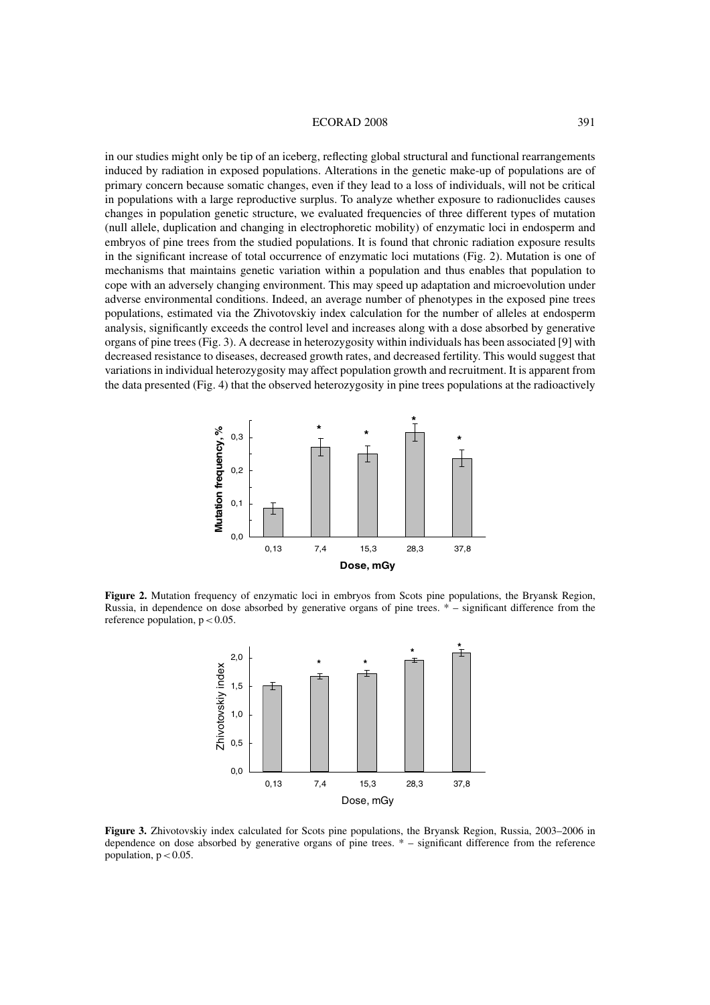# ECORAD 2008 391

in our studies might only be tip of an iceberg, reflecting global structural and functional rearrangements induced by radiation in exposed populations. Alterations in the genetic make-up of populations are of primary concern because somatic changes, even if they lead to a loss of individuals, will not be critical in populations with a large reproductive surplus. To analyze whether exposure to radionuclides causes changes in population genetic structure, we evaluated frequencies of three different types of mutation (null allele, duplication and changing in electrophoretic mobility) of enzymatic loci in endosperm and embryos of pine trees from the studied populations. It is found that chronic radiation exposure results in the significant increase of total occurrence of enzymatic loci mutations (Fig. 2). Mutation is one of mechanisms that maintains genetic variation within a population and thus enables that population to cope with an adversely changing environment. This may speed up adaptation and microevolution under adverse environmental conditions. Indeed, an average number of phenotypes in the exposed pine trees populations, estimated via the Zhivotovskiy index calculation for the number of alleles at endosperm analysis, significantly exceeds the control level and increases along with a dose absorbed by generative organs of pine trees (Fig. 3). A decrease in heterozygosity within individuals has been associated [9] with decreased resistance to diseases, decreased growth rates, and decreased fertility. This would suggest that variations in individual heterozygosity may affect population growth and recruitment. It is apparent from the data presented (Fig. 4) that the observed heterozygosity in pine trees populations at the radioactively



**Figure 2.** Mutation frequency of enzymatic loci in embryos from Scots pine populations, the Bryansk Region, Russia, in dependence on dose absorbed by generative organs of pine trees. \* – significant difference from the reference population,  $p < 0.05$ .



**Figure 3.** Zhivotovskiy index calculated for Scots pine populations, the Bryansk Region, Russia, 2003–2006 in dependence on dose absorbed by generative organs of pine trees. \* – significant difference from the reference population,  $p < 0.05$ .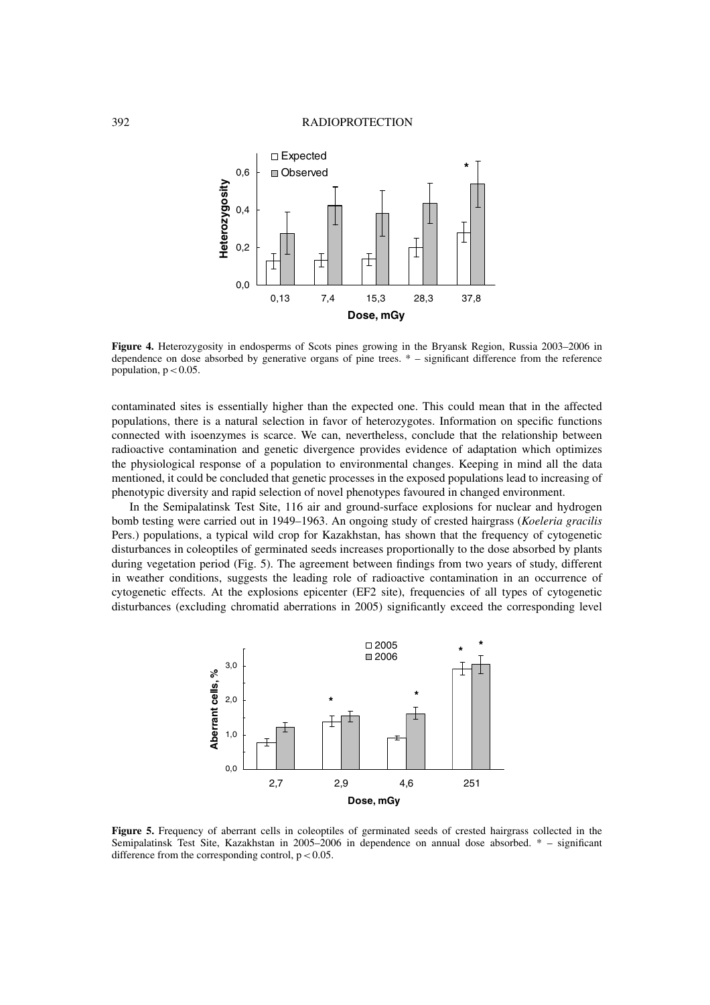#### 392 RADIOPROTECTION



**Figure 4.** Heterozygosity in endosperms of Scots pines growing in the Bryansk Region, Russia 2003–2006 in dependence on dose absorbed by generative organs of pine trees. \* – significant difference from the reference population,  $p < 0.05$ .

contaminated sites is essentially higher than the expected one. This could mean that in the affected populations, there is a natural selection in favor of heterozygotes. Information on specific functions connected with isoenzymes is scarce. We can, nevertheless, conclude that the relationship between radioactive contamination and genetic divergence provides evidence of adaptation which optimizes the physiological response of a population to environmental changes. Keeping in mind all the data mentioned, it could be concluded that genetic processes in the exposed populations lead to increasing of phenotypic diversity and rapid selection of novel phenotypes favoured in changed environment.

In the Semipalatinsk Test Site, 116 air and ground-surface explosions for nuclear and hydrogen bomb testing were carried out in 1949–1963. An ongoing study of crested hairgrass (*Koeleria gracilis* Pers.) populations, a typical wild crop for Kazakhstan, has shown that the frequency of cytogenetic disturbances in coleoptiles of germinated seeds increases proportionally to the dose absorbed by plants during vegetation period (Fig. 5). The agreement between findings from two years of study, different in weather conditions, suggests the leading role of radioactive contamination in an occurrence of cytogenetic effects. At the explosions epicenter (EF2 site), frequencies of all types of cytogenetic disturbances (excluding chromatid aberrations in 2005) significantly exceed the corresponding level



**Figure 5.** Frequency of aberrant cells in coleoptiles of germinated seeds of crested hairgrass collected in the Semipalatinsk Test Site, Kazakhstan in 2005–2006 in dependence on annual dose absorbed. \* – significant difference from the corresponding control,  $p < 0.05$ .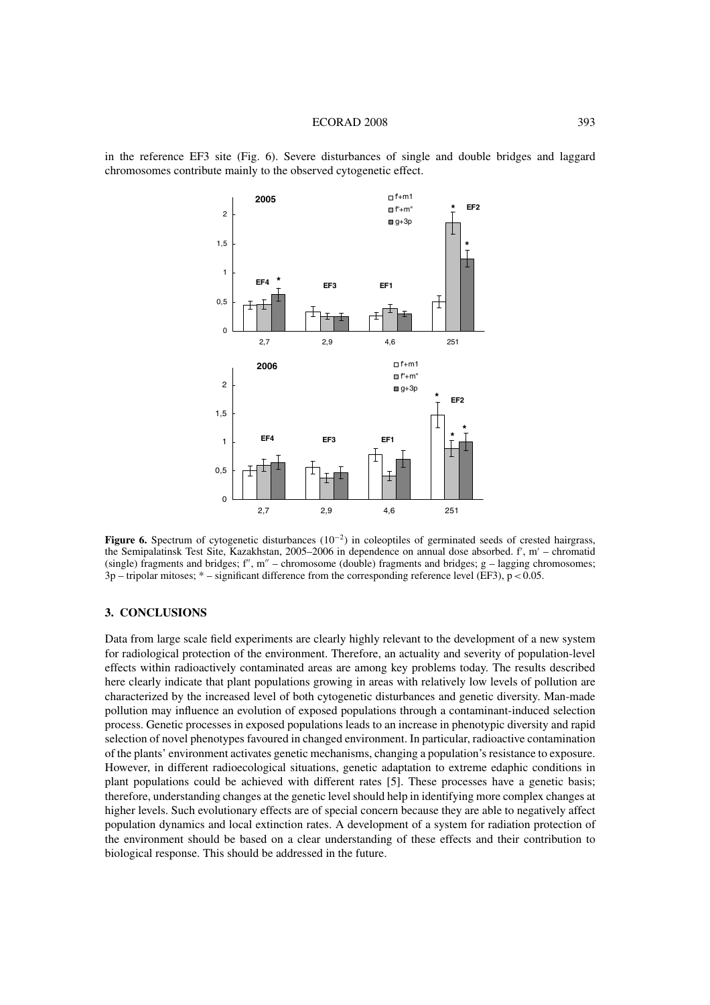#### ECORAD 2008 393

in the reference EF3 site (Fig. 6). Severe disturbances of single and double bridges and laggard chromosomes contribute mainly to the observed cytogenetic effect.



**Figure 6.** Spectrum of cytogenetic disturbances (10−2) in coleoptiles of germinated seeds of crested hairgrass, the Semipalatinsk Test Site, Kazakhstan, 2005–2006 in dependence on annual dose absorbed. f', m' – chromatid (single) fragments and bridges;  $f''$ , m'' – chromosome (double) fragments and bridges;  $g$  – lagging chromosomes;  $3p$  – tripolar mitoses; \* – significant difference from the corresponding reference level (EF3),  $p < 0.05$ .

# **3. CONCLUSIONS**

Data from large scale field experiments are clearly highly relevant to the development of a new system for radiological protection of the environment. Therefore, an actuality and severity of population-level effects within radioactively contaminated areas are among key problems today. The results described here clearly indicate that plant populations growing in areas with relatively low levels of pollution are characterized by the increased level of both cytogenetic disturbances and genetic diversity. Man-made pollution may influence an evolution of exposed populations through a contaminant-induced selection process. Genetic processes in exposed populations leads to an increase in phenotypic diversity and rapid selection of novel phenotypes favoured in changed environment. In particular, radioactive contamination of the plants' environment activates genetic mechanisms, changing a population's resistance to exposure. However, in different radioecological situations, genetic adaptation to extreme edaphic conditions in plant populations could be achieved with different rates [5]. These processes have a genetic basis; therefore, understanding changes at the genetic level should help in identifying more complex changes at higher levels. Such evolutionary effects are of special concern because they are able to negatively affect population dynamics and local extinction rates. A development of a system for radiation protection of the environment should be based on a clear understanding of these effects and their contribution to biological response. This should be addressed in the future.